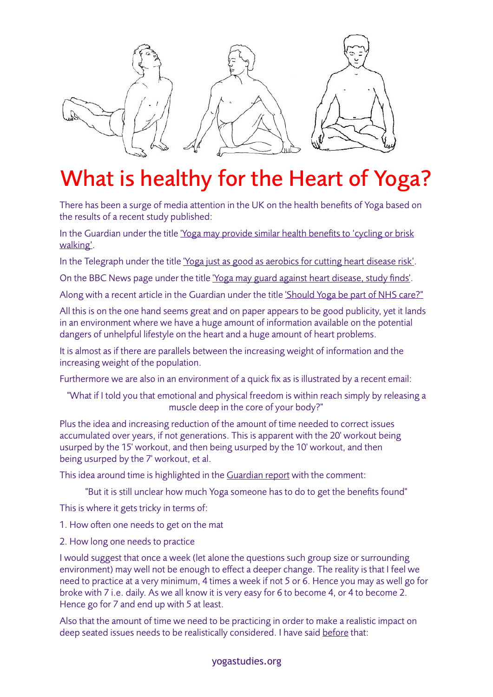

## What is healthy for the Heart of Yoga?

There has been a surge of media attention in the UK on the health benefits of Yoga based on the results of a recent study published:

In the Guardian under the title ['Yoga may provide similar health benefits to 'cycling or brisk](http://www.theguardian.com/lifeandstyle/2014/dec/16/yoga-may-provide-similar-health-benefits-to-cycling-or-brisk-walking)  [walking'.](http://www.theguardian.com/lifeandstyle/2014/dec/16/yoga-may-provide-similar-health-benefits-to-cycling-or-brisk-walking)

In the Telegraph under the title ['Yoga just as good as aerobics for cutting heart disease risk'](http://www.telegraph.co.uk/news/science/science-news/11294714/Yoga-just-as-good-as-aerobics-for-cutting-heart-disease-risk.html).

On the BBC News page under the title ['Yoga may guard against heart disease, study finds'.](http://www.bbc.co.uk/news/health-30475999)

Along with a recent article in the Guardian under the title ['Should Yoga be part of NHS care?"](http://www.theguardian.com/healthcare-network/2016/apr/26/should-yoga-be-part-of-nhs-care)

All this is on the one hand seems great and on paper appears to be good publicity, yet it lands in an environment where we have a huge amount of information available on the potential dangers of unhelpful lifestyle on the heart and a huge amount of heart problems.

It is almost as if there are parallels between the increasing weight of information and the increasing weight of the population.

Furthermore we are also in an environment of a quick fix as is illustrated by a recent email:

"What if I told you that emotional and physical freedom is within reach simply by releasing a muscle deep in the core of your body?"

Plus the idea and increasing reduction of the amount of time needed to correct issues accumulated over years, if not generations. This is apparent with the 20' workout being usurped by the 15' workout, and then being usurped by the 10' workout, and then being usurped by the 7' workout, et al.

This idea around time is highlighted in the [Guardian report](http://www.theguardian.com/lifeandstyle/2014/dec/16/yoga-may-provide-similar-health-benefits-to-cycling-or-brisk-walking) with the comment:

"But it is still unclear how much Yoga someone has to do to get the benefits found"

This is where it gets tricky in terms of:

1. How often one needs to get on the mat

2. How long one needs to practice

I would suggest that once a week (let alone the questions such group size or surrounding environment) may well not be enough to effect a deeper change. The reality is that I feel we need to practice at a very minimum, 4 times a week if not 5 or 6. Hence you may as well go for broke with 7 i.e. daily. As we all know it is very easy for 6 to become 4, or 4 to become 2. Hence go for 7 and end up with 5 at least.

Also that the amount of time we need to be practicing in order to make a realistic impact on deep seated issues needs to be realistically considered. I have said [before](http://www.yogastudies.org/2014/10/short-term-strength-viniyoga-yoga-methodology/) that:

## yogastudies.org